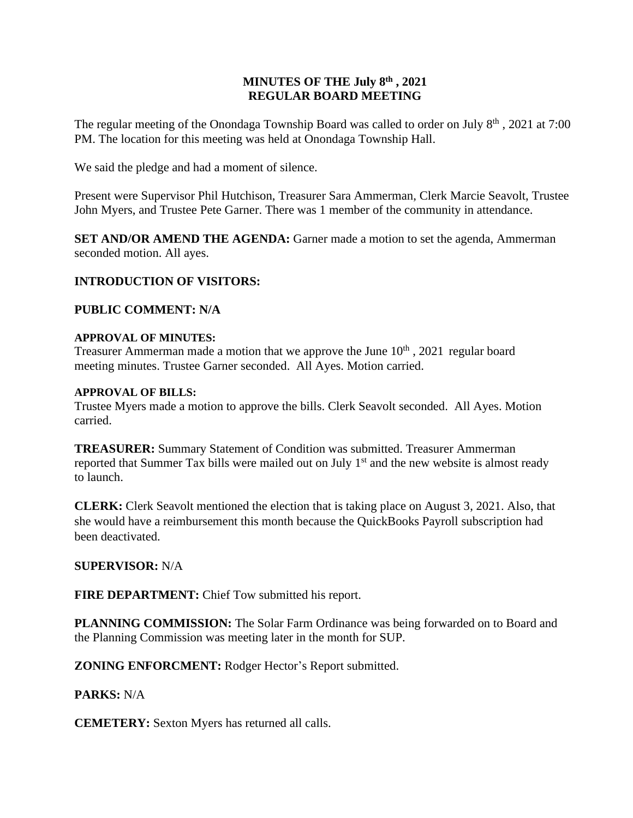## **MINUTES OF THE July 8 th , 2021 REGULAR BOARD MEETING**

The regular meeting of the Onondaga Township Board was called to order on July 8<sup>th</sup>, 2021 at 7:00 PM. The location for this meeting was held at Onondaga Township Hall.

We said the pledge and had a moment of silence.

Present were Supervisor Phil Hutchison, Treasurer Sara Ammerman, Clerk Marcie Seavolt, Trustee John Myers, and Trustee Pete Garner. There was 1 member of the community in attendance.

**SET AND/OR AMEND THE AGENDA:** Garner made a motion to set the agenda, Ammerman seconded motion. All ayes.

# **INTRODUCTION OF VISITORS:**

## **PUBLIC COMMENT: N/A**

### **APPROVAL OF MINUTES:**

Treasurer Ammerman made a motion that we approve the June  $10<sup>th</sup>$ , 2021 regular board meeting minutes. Trustee Garner seconded. All Ayes. Motion carried.

### **APPROVAL OF BILLS:**

Trustee Myers made a motion to approve the bills. Clerk Seavolt seconded. All Ayes. Motion carried.

**TREASURER:** Summary Statement of Condition was submitted. Treasurer Ammerman reported that Summer Tax bills were mailed out on July 1<sup>st</sup> and the new website is almost ready to launch.

**CLERK:** Clerk Seavolt mentioned the election that is taking place on August 3, 2021. Also, that she would have a reimbursement this month because the QuickBooks Payroll subscription had been deactivated.

## **SUPERVISOR:** N/A

**FIRE DEPARTMENT:** Chief Tow submitted his report.

**PLANNING COMMISSION:** The Solar Farm Ordinance was being forwarded on to Board and the Planning Commission was meeting later in the month for SUP.

**ZONING ENFORCMENT:** Rodger Hector's Report submitted.

## **PARKS:** N/A

**CEMETERY:** Sexton Myers has returned all calls.